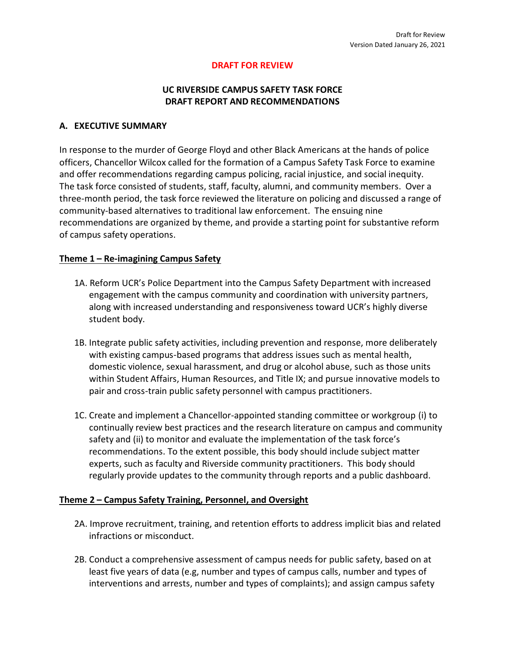### **DRAFT FOR REVIEW**

### **UC RIVERSIDE CAMPUS SAFETY TASK FORCE DRAFT REPORT AND RECOMMENDATIONS**

#### **A. EXECUTIVE SUMMARY**

In response to the murder of George Floyd and other Black Americans at the hands of police officers, Chancellor Wilcox called for the formation of a Campus Safety Task Force to examine and offer recommendations regarding campus policing, racial injustice, and social inequity. The task force consisted of students, staff, faculty, alumni, and community members. Over a three-month period, the task force reviewed the literature on policing and discussed a range of community-based alternatives to traditional law enforcement. The ensuing nine recommendations are organized by theme, and provide a starting point for substantive reform of campus safety operations.

### **Theme 1 – Re-imagining Campus Safety**

- 1A. Reform UCR's Police Department into the Campus Safety Department with increased engagement with the campus community and coordination with university partners, along with increased understanding and responsiveness toward UCR's highly diverse student body.
- 1B. Integrate public safety activities, including prevention and response, more deliberately with existing campus-based programs that address issues such as mental health, domestic violence, sexual harassment, and drug or alcohol abuse, such as those units within Student Affairs, Human Resources, and Title IX; and pursue innovative models to pair and cross-train public safety personnel with campus practitioners.
- 1C. Create and implement a Chancellor-appointed standing committee or workgroup (i) to continually review best practices and the research literature on campus and community safety and (ii) to monitor and evaluate the implementation of the task force's recommendations. To the extent possible, this body should include subject matter experts, such as faculty and Riverside community practitioners. This body should regularly provide updates to the community through reports and a public dashboard.

### **Theme 2 – Campus Safety Training, Personnel, and Oversight**

- 2A. Improve recruitment, training, and retention efforts to address implicit bias and related infractions or misconduct.
- 2B. Conduct a comprehensive assessment of campus needs for public safety, based on at least five years of data (e.g, number and types of campus calls, number and types of interventions and arrests, number and types of complaints); and assign campus safety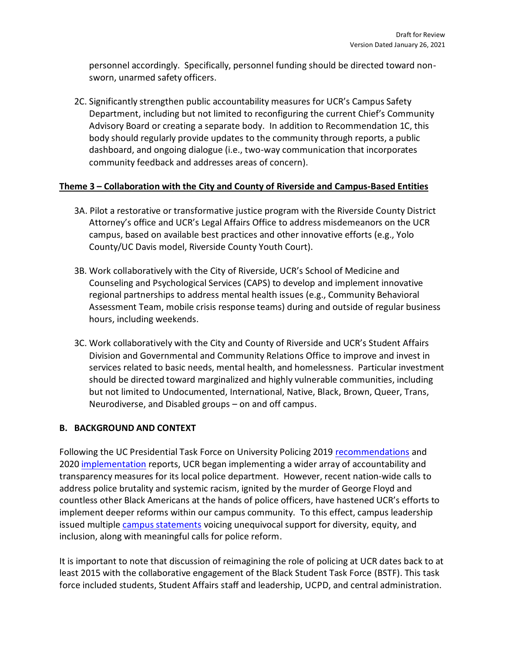personnel accordingly. Specifically, personnel funding should be directed toward nonsworn, unarmed safety officers.

2C. Significantly strengthen public accountability measures for UCR's Campus Safety Department, including but not limited to reconfiguring the current Chief's Community Advisory Board or creating a separate body. In addition to Recommendation 1C, this body should regularly provide updates to the community through reports, a public dashboard, and ongoing dialogue (i.e., two-way communication that incorporates community feedback and addresses areas of concern).

## **Theme 3 – Collaboration with the City and County of Riverside and Campus-Based Entities**

- 3A. Pilot a restorative or transformative justice program with the Riverside County District Attorney's office and UCR's Legal Affairs Office to address misdemeanors on the UCR campus, based on available best practices and other innovative efforts (e.g., Yolo County/UC Davis model, Riverside County Youth Court).
- 3B. Work collaboratively with the City of Riverside, UCR's School of Medicine and Counseling and Psychological Services (CAPS) to develop and implement innovative regional partnerships to address mental health issues (e.g., Community Behavioral Assessment Team, mobile crisis response teams) during and outside of regular business hours, including weekends.
- 3C. Work collaboratively with the City and County of Riverside and UCR's Student Affairs Division and Governmental and Community Relations Office to improve and invest in services related to basic needs, mental health, and homelessness. Particular investment should be directed toward marginalized and highly vulnerable communities, including but not limited to Undocumented, International, Native, Black, Brown, Queer, Trans, Neurodiverse, and Disabled groups – on and off campus.

### **B. BACKGROUND AND CONTEXT**

Following the UC Presidential Task Force on University Policing 2019 [recommendations](https://www.ucop.edu/policing-task-force/policing-task-force-report_2019.pdf) and 2020 [implementation](https://police.ucsc.edu/report/uptf-final-implementation-report_june-2020.pdf) reports, UCR began implementing a wider array of accountability and transparency measures for its local police department. However, recent nation-wide calls to address police brutality and systemic racism, ignited by the murder of George Floyd and countless other Black Americans at the hands of police officers, have hastened UCR's efforts to implement deeper reforms within our campus community. To this effect, campus leadership issued multiple [campus statements](https://insideucr.ucr.edu/announcements/2020/05/29/uc-riverside-mourns-death-george-floyd) voicing unequivocal support for diversity, equity, and inclusion, along with meaningful calls for police reform.

It is important to note that discussion of reimagining the role of policing at UCR dates back to at least 2015 with the collaborative engagement of the Black Student Task Force (BSTF). This task force included students, Student Affairs staff and leadership, UCPD, and central administration.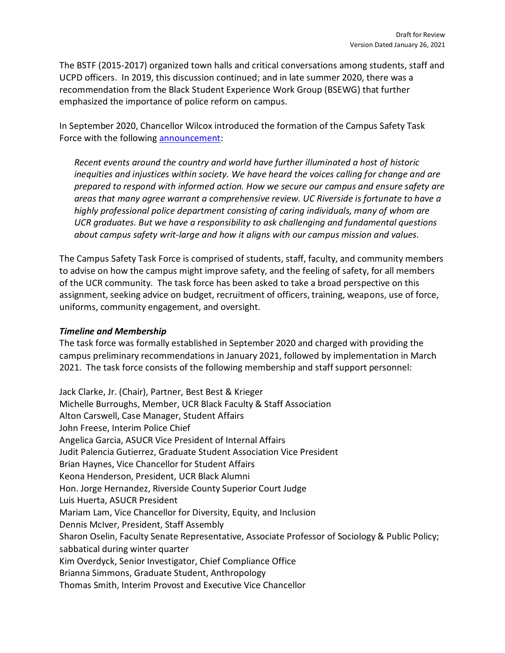The BSTF (2015-2017) organized town halls and critical conversations among students, staff and UCPD officers. In 2019, this discussion continued; and in late summer 2020, there was a recommendation from the Black Student Experience Work Group (BSEWG) that further emphasized the importance of police reform on campus.

In September 2020, Chancellor Wilcox introduced the formation of the Campus Safety Task Force with the following [announcement:](https://chancellor.ucr.edu/task-force-campus-safety)

*Recent events around the country and world have further illuminated a host of historic inequities and injustices within society. We have heard the voices calling for change and are prepared to respond with informed action. How we secure our campus and ensure safety are areas that many agree warrant a comprehensive review. UC Riverside is fortunate to have a highly professional police department consisting of caring individuals, many of whom are UCR graduates. But we have a responsibility to ask challenging and fundamental questions about campus safety writ-large and how it aligns with our campus mission and values.*

The Campus Safety Task Force is comprised of students, staff, faculty, and community members to advise on how the campus might improve safety, and the feeling of safety, for all members of the UCR community. The task force has been asked to take a broad perspective on this assignment, seeking advice on budget, recruitment of officers, training, weapons, use of force, uniforms, community engagement, and oversight.

### *Timeline and Membership*

The task force was formally established in September 2020 and charged with providing the campus preliminary recommendations in January 2021, followed by implementation in March 2021. The task force consists of the following membership and staff support personnel:

Jack Clarke, Jr. (Chair), Partner, Best Best & Krieger Michelle Burroughs, Member, UCR Black Faculty & Staff Association Alton Carswell, Case Manager, Student Affairs John Freese, Interim Police Chief Angelica Garcia, ASUCR Vice President of Internal Affairs Judit Palencia Gutierrez, Graduate Student Association Vice President Brian Haynes, Vice Chancellor for Student Affairs Keona Henderson, President, UCR Black Alumni Hon. Jorge Hernandez, Riverside County Superior Court Judge Luis Huerta, ASUCR President Mariam Lam, Vice Chancellor for Diversity, Equity, and Inclusion Dennis McIver, President, Staff Assembly Sharon Oselin, Faculty Senate Representative, Associate Professor of Sociology & Public Policy; sabbatical during winter quarter Kim Overdyck, Senior Investigator, Chief Compliance Office Brianna Simmons, Graduate Student, Anthropology Thomas Smith, Interim Provost and Executive Vice Chancellor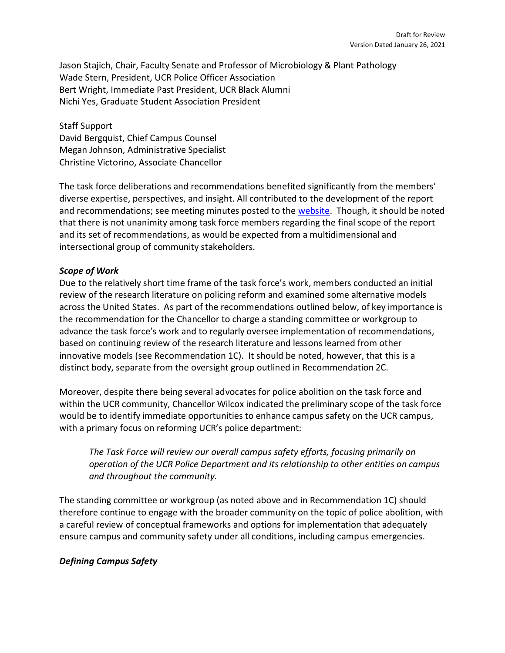Jason Stajich, Chair, Faculty Senate and Professor of Microbiology & Plant Pathology Wade Stern, President, UCR Police Officer Association Bert Wright, Immediate Past President, UCR Black Alumni Nichi Yes, Graduate Student Association President

Staff Support David Bergquist, Chief Campus Counsel Megan Johnson, Administrative Specialist Christine Victorino, Associate Chancellor

The task force deliberations and recommendations benefited significantly from the members' diverse expertise, perspectives, and insight. All contributed to the development of the report and recommendations; see meeting minutes posted to the [website.](https://chancellor.ucr.edu/task-force-campus-safety) Though, it should be noted that there is not unanimity among task force members regarding the final scope of the report and its set of recommendations, as would be expected from a multidimensional and intersectional group of community stakeholders.

## *Scope of Work*

Due to the relatively short time frame of the task force's work, members conducted an initial review of the research literature on policing reform and examined some alternative models across the United States. As part of the recommendations outlined below, of key importance is the recommendation for the Chancellor to charge a standing committee or workgroup to advance the task force's work and to regularly oversee implementation of recommendations, based on continuing review of the research literature and lessons learned from other innovative models (see Recommendation 1C). It should be noted, however, that this is a distinct body, separate from the oversight group outlined in Recommendation 2C.

Moreover, despite there being several advocates for police abolition on the task force and within the UCR community, Chancellor Wilcox indicated the preliminary scope of the task force would be to identify immediate opportunities to enhance campus safety on the UCR campus, with a primary focus on reforming UCR's police department:

*The Task Force will review our overall campus safety efforts, focusing primarily on operation of the UCR Police Department and its relationship to other entities on campus and throughout the community.*

The standing committee or workgroup (as noted above and in Recommendation 1C) should therefore continue to engage with the broader community on the topic of police abolition, with a careful review of conceptual frameworks and options for implementation that adequately ensure campus and community safety under all conditions, including campus emergencies.

## *Defining Campus Safety*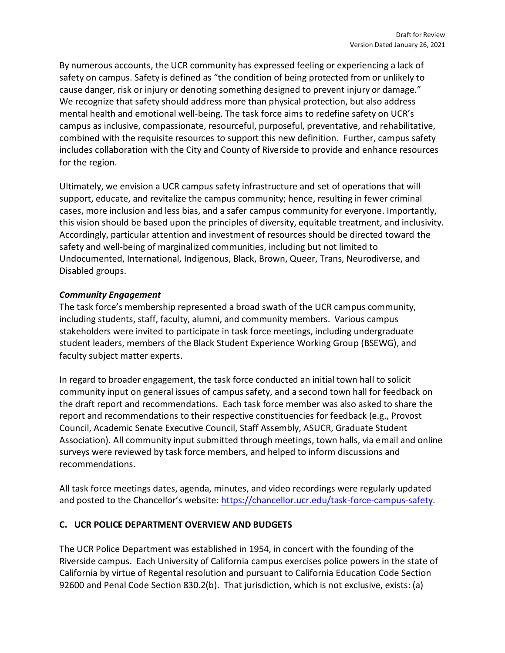By numerous accounts, the UCR community has expressed feeling or experiencing a lack of safety on campus. Safety is defined as "the condition of being protected from or unlikely to cause danger, risk or injury or denoting something designed to prevent injury or damage." We recognize that safety should address more than physical protection, but also address mental health and emotional well-being. The task force aims to redefine safety on UCR's campus as inclusive, compassionate, resourceful, purposeful, preventative, and rehabilitative, combined with the requisite resources to support this new definition. Further, campus safety includes collaboration with the City and County of Riverside to provide and enhance resources for the region.

Ultimately, we envision a UCR campus safety infrastructure and set of operations that will support, educate, and revitalize the campus community; hence, resulting in fewer criminal cases, more inclusion and less bias, and a safer campus community for everyone. Importantly, this vision should be based upon the principles of diversity, equitable treatment, and inclusivity. Accordingly, particular attention and investment of resources should be directed toward the safety and well-being of marginalized communities, including but not limited to Undocumented, International, Indigenous, Black, Brown, Queer, Trans, Neurodiverse, and Disabled groups.

### *Community Engagement*

The task force's membership represented a broad swath of the UCR campus community, including students, staff, faculty, alumni, and community members. Various campus stakeholders were invited to participate in task force meetings, including undergraduate student leaders, members of the Black Student Experience Working Group (BSEWG), and faculty subject matter experts.

In regard to broader engagement, the task force conducted an initial town hall to solicit community input on general issues of campus safety, and a second town hall for feedback on the draft report and recommendations. Each task force member was also asked to share the report and recommendations to their respective constituencies for feedback (e.g., Provost Council, Academic Senate Executive Council, Staff Assembly, ASUCR, Graduate Student Association). All community input submitted through meetings, town halls, via email and online surveys were reviewed by task force members, and helped to inform discussions and recommendations.

All task force meetings dates, agenda, minutes, and video recordings were regularly updated and posted to the Chancellor's website: [https://chancellor.ucr.edu/task-force-campus-safety.](https://chancellor.ucr.edu/task-force-campus-safety)

### **C. UCR POLICE DEPARTMENT OVERVIEW AND BUDGETS**

The UCR Police Department was established in 1954, in concert with the founding of the Riverside campus. Each University of California campus exercises police powers in the state of California by virtue of Regental resolution and pursuant to California Education Code Section 92600 and Penal Code Section 830.2(b). That jurisdiction, which is not exclusive, exists: (a)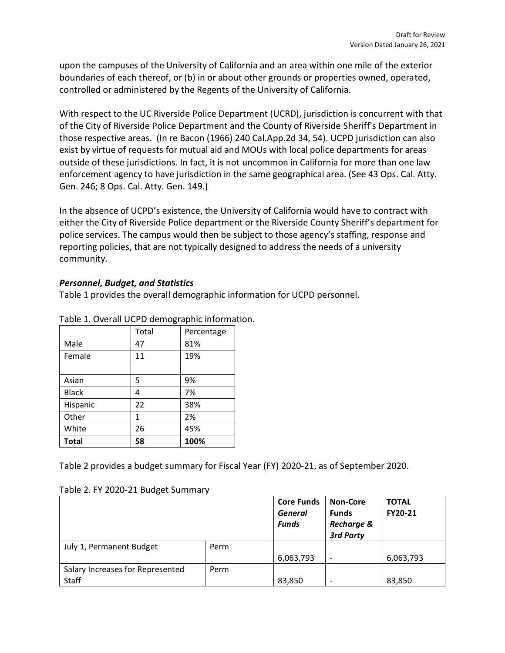upon the campuses of the University of California and an area within one mile of the exterior boundaries of each thereof, or (b) in or about other grounds or properties owned, operated, controlled or administered by the Regents of the University of California.

With respect to the UC Riverside Police Department (UCRD), jurisdiction is concurrent with that of the City of Riverside Police Department and the County of Riverside Sheriff's Department in those respective areas. (In re Bacon (1966) 240 Cal.App.2d 34, 54). UCPD jurisdiction can also exist by virtue of requests for mutual aid and MOUs with local police departments for areas outside of these jurisdictions. In fact, it is not uncommon in California for more than one law enforcement agency to have jurisdiction in the same geographical area. (See 43 Ops. Cal. Atty. Gen. 246; 8 Ops. Cal. Atty. Gen. 149.)

In the absence of UCPD's existence, the University of California would have to contract with either the City of Riverside Police department or the Riverside County Sheriff's department for police services. The campus would then be subject to those agency's staffing, response and reporting policies, that are not typically designed to address the needs of a university community.

### *Personnel, Budget, and Statistics*

Table 1 provides the overall demographic information for UCPD personnel.

|              | Total | Percentage |  |
|--------------|-------|------------|--|
| Male         | 47    | 81%        |  |
| Female       | 11    | 19%        |  |
|              |       |            |  |
| Asian        | 5     | 9%         |  |
| <b>Black</b> | 4     | 7%         |  |
| Hispanic     | 22    | 38%        |  |
| Other        | 1     | 2%         |  |
| White        | 26    | 45%        |  |
| <b>Total</b> | 58    | 100%       |  |

Table 1. Overall UCPD demographic information.

Table 2 provides a budget summary for Fiscal Year (FY) 2020-21, as of September 2020.

| Table 2. FY 2020-21 Budget Summary |
|------------------------------------|
|                                    |

|                                  |      | <b>Core Funds</b><br>General<br><b>Funds</b> | <b>Non-Core</b><br><b>Funds</b><br><b>Recharge &amp;</b><br>3rd Party | <b>TOTAL</b><br>FY20-21 |
|----------------------------------|------|----------------------------------------------|-----------------------------------------------------------------------|-------------------------|
| July 1, Permanent Budget         | Perm |                                              |                                                                       |                         |
|                                  |      | 6,063,793                                    | $\overline{\phantom{a}}$                                              | 6,063,793               |
| Salary Increases for Represented | Perm |                                              |                                                                       |                         |
| Staff                            |      | 83,850                                       | $\overline{\phantom{a}}$                                              | 83,850                  |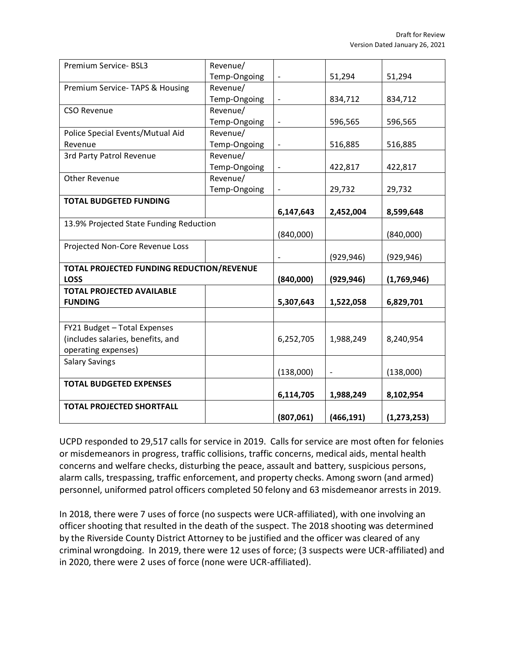| Premium Service- BSL3                     | Revenue/     |                              |                          |               |
|-------------------------------------------|--------------|------------------------------|--------------------------|---------------|
|                                           | Temp-Ongoing | $\overline{\phantom{a}}$     | 51,294                   | 51,294        |
| Premium Service- TAPS & Housing           | Revenue/     |                              |                          |               |
|                                           | Temp-Ongoing | $\qquad \qquad \blacksquare$ | 834,712                  | 834,712       |
| <b>CSO Revenue</b>                        | Revenue/     |                              |                          |               |
|                                           | Temp-Ongoing | $\qquad \qquad \blacksquare$ | 596,565                  | 596,565       |
| Police Special Events/Mutual Aid          | Revenue/     |                              |                          |               |
| Revenue                                   | Temp-Ongoing | $\overline{\phantom{a}}$     | 516,885                  | 516,885       |
| 3rd Party Patrol Revenue                  | Revenue/     |                              |                          |               |
|                                           | Temp-Ongoing |                              | 422,817                  | 422,817       |
| Other Revenue                             | Revenue/     |                              |                          |               |
|                                           | Temp-Ongoing |                              | 29,732                   | 29,732        |
| <b>TOTAL BUDGETED FUNDING</b>             |              |                              |                          |               |
|                                           |              | 6,147,643                    | 2,452,004                | 8,599,648     |
| 13.9% Projected State Funding Reduction   |              |                              |                          |               |
|                                           |              | (840,000)                    |                          | (840,000)     |
| Projected Non-Core Revenue Loss           |              |                              |                          |               |
|                                           |              |                              | (929, 946)               | (929, 946)    |
| TOTAL PROJECTED FUNDING REDUCTION/REVENUE |              |                              |                          |               |
| <b>LOSS</b>                               |              | (840,000)                    | (929, 946)               | (1,769,946)   |
| <b>TOTAL PROJECTED AVAILABLE</b>          |              |                              |                          |               |
| <b>FUNDING</b>                            |              | 5,307,643                    | 1,522,058                | 6,829,701     |
|                                           |              |                              |                          |               |
| FY21 Budget - Total Expenses              |              |                              |                          |               |
| (includes salaries, benefits, and         |              | 6,252,705                    | 1,988,249                | 8,240,954     |
| operating expenses)                       |              |                              |                          |               |
| <b>Salary Savings</b>                     |              |                              |                          |               |
|                                           |              | (138,000)                    | $\overline{\phantom{a}}$ | (138,000)     |
| <b>TOTAL BUDGETED EXPENSES</b>            |              |                              |                          |               |
|                                           |              | 6,114,705                    | 1,988,249                | 8,102,954     |
| <b>TOTAL PROJECTED SHORTFALL</b>          |              |                              |                          |               |
|                                           |              | (807,061)                    | (466, 191)               | (1, 273, 253) |

UCPD responded to 29,517 calls for service in 2019. Calls for service are most often for felonies or misdemeanors in progress, traffic collisions, traffic concerns, medical aids, mental health concerns and welfare checks, disturbing the peace, assault and battery, suspicious persons, alarm calls, trespassing, traffic enforcement, and property checks. Among sworn (and armed) personnel, uniformed patrol officers completed 50 felony and 63 misdemeanor arrests in 2019.

In 2018, there were 7 uses of force (no suspects were UCR-affiliated), with one involving an officer shooting that resulted in the death of the suspect. The 2018 shooting was determined by the Riverside County District Attorney to be justified and the officer was cleared of any criminal wrongdoing. In 2019, there were 12 uses of force; (3 suspects were UCR-affiliated) and in 2020, there were 2 uses of force (none were UCR-affiliated).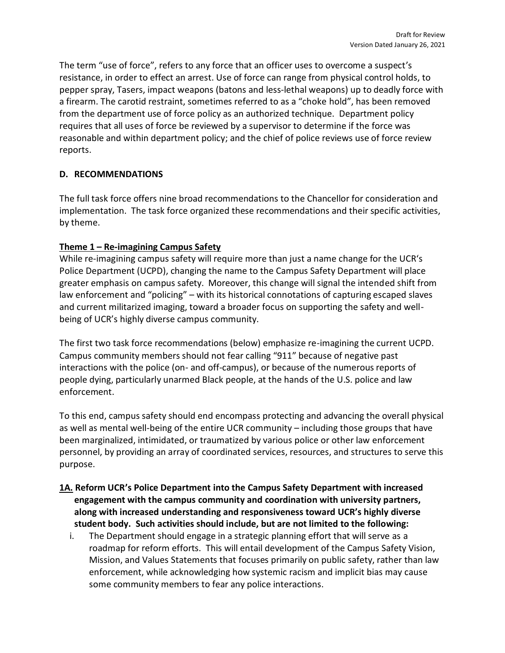The term "use of force", refers to any force that an officer uses to overcome a suspect's resistance, in order to effect an arrest. Use of force can range from physical control holds, to pepper spray, Tasers, impact weapons (batons and less-lethal weapons) up to deadly force with a firearm. The carotid restraint, sometimes referred to as a "choke hold", has been removed from the department use of force policy as an authorized technique. Department policy requires that all uses of force be reviewed by a supervisor to determine if the force was reasonable and within department policy; and the chief of police reviews use of force review reports.

# **D. RECOMMENDATIONS**

The full task force offers nine broad recommendations to the Chancellor for consideration and implementation. The task force organized these recommendations and their specific activities, by theme.

# **Theme 1 – Re-imagining Campus Safety**

While re-imagining campus safety will require more than just a name change for the UCR's Police Department (UCPD), changing the name to the Campus Safety Department will place greater emphasis on campus safety. Moreover, this change will signal the intended shift from law enforcement and "policing" – with its historical connotations of capturing escaped slaves and current militarized imaging, toward a broader focus on supporting the safety and wellbeing of UCR's highly diverse campus community.

The first two task force recommendations (below) emphasize re-imagining the current UCPD. Campus community members should not fear calling "911" because of negative past interactions with the police (on- and off-campus), or because of the numerous reports of people dying, particularly unarmed Black people, at the hands of the U.S. police and law enforcement.

To this end, campus safety should end encompass protecting and advancing the overall physical as well as mental well-being of the entire UCR community – including those groups that have been marginalized, intimidated, or traumatized by various police or other law enforcement personnel, by providing an array of coordinated services, resources, and structures to serve this purpose.

- **1A. Reform UCR's Police Department into the Campus Safety Department with increased engagement with the campus community and coordination with university partners, along with increased understanding and responsiveness toward UCR's highly diverse student body. Such activities should include, but are not limited to the following:**
	- i. The Department should engage in a strategic planning effort that will serve as a roadmap for reform efforts. This will entail development of the Campus Safety Vision, Mission, and Values Statements that focuses primarily on public safety, rather than law enforcement, while acknowledging how systemic racism and implicit bias may cause some community members to fear any police interactions.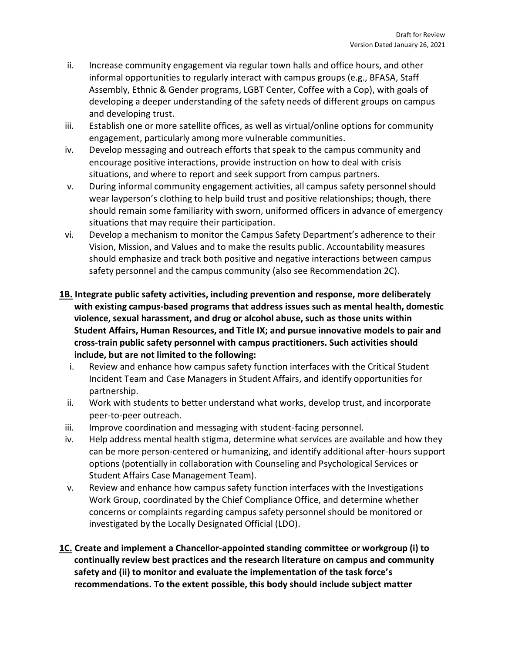- ii. Increase community engagement via regular town halls and office hours, and other informal opportunities to regularly interact with campus groups (e.g., BFASA, Staff Assembly, Ethnic & Gender programs, LGBT Center, Coffee with a Cop), with goals of developing a deeper understanding of the safety needs of different groups on campus and developing trust.
- iii. Establish one or more satellite offices, as well as virtual/online options for community engagement, particularly among more vulnerable communities.
- iv. Develop messaging and outreach efforts that speak to the campus community and encourage positive interactions, provide instruction on how to deal with crisis situations, and where to report and seek support from campus partners.
- v. During informal community engagement activities, all campus safety personnel should wear layperson's clothing to help build trust and positive relationships; though, there should remain some familiarity with sworn, uniformed officers in advance of emergency situations that may require their participation.
- vi. Develop a mechanism to monitor the Campus Safety Department's adherence to their Vision, Mission, and Values and to make the results public. Accountability measures should emphasize and track both positive and negative interactions between campus safety personnel and the campus community (also see Recommendation 2C).
- **1B. Integrate public safety activities, including prevention and response, more deliberately with existing campus-based programs that address issues such as mental health, domestic violence, sexual harassment, and drug or alcohol abuse, such as those units within Student Affairs, Human Resources, and Title IX; and pursue innovative models to pair and cross-train public safety personnel with campus practitioners. Such activities should include, but are not limited to the following:**
	- i. Review and enhance how campus safety function interfaces with the Critical Student Incident Team and Case Managers in Student Affairs, and identify opportunities for partnership.
	- ii. Work with students to better understand what works, develop trust, and incorporate peer-to-peer outreach.
	- iii. Improve coordination and messaging with student-facing personnel.
	- iv. Help address mental health stigma, determine what services are available and how they can be more person-centered or humanizing, and identify additional after-hours support options (potentially in collaboration with Counseling and Psychological Services or Student Affairs Case Management Team).
	- v. Review and enhance how campus safety function interfaces with the Investigations Work Group, coordinated by the Chief Compliance Office, and determine whether concerns or complaints regarding campus safety personnel should be monitored or investigated by the Locally Designated Official (LDO).
- **1C. Create and implement a Chancellor-appointed standing committee or workgroup (i) to continually review best practices and the research literature on campus and community safety and (ii) to monitor and evaluate the implementation of the task force's recommendations. To the extent possible, this body should include subject matter**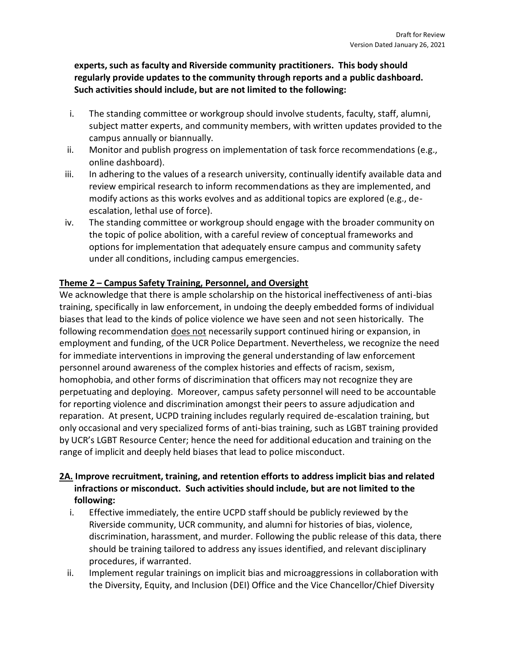**experts, such as faculty and Riverside community practitioners. This body should regularly provide updates to the community through reports and a public dashboard. Such activities should include, but are not limited to the following:** 

- i. The standing committee or workgroup should involve students, faculty, staff, alumni, subject matter experts, and community members, with written updates provided to the campus annually or biannually.
- ii. Monitor and publish progress on implementation of task force recommendations (e.g., online dashboard).
- iii. In adhering to the values of a research university, continually identify available data and review empirical research to inform recommendations as they are implemented, and modify actions as this works evolves and as additional topics are explored (e.g., deescalation, lethal use of force).
- iv. The standing committee or workgroup should engage with the broader community on the topic of police abolition, with a careful review of conceptual frameworks and options for implementation that adequately ensure campus and community safety under all conditions, including campus emergencies.

# **Theme 2 – Campus Safety Training, Personnel, and Oversight**

We acknowledge that there is ample scholarship on the historical ineffectiveness of anti-bias training, specifically in law enforcement, in undoing the deeply embedded forms of individual biases that lead to the kinds of police violence we have seen and not seen historically. The following recommendation does not necessarily support continued hiring or expansion, in employment and funding, of the UCR Police Department. Nevertheless, we recognize the need for immediate interventions in improving the general understanding of law enforcement personnel around awareness of the complex histories and effects of racism, sexism, homophobia, and other forms of discrimination that officers may not recognize they are perpetuating and deploying. Moreover, campus safety personnel will need to be accountable for reporting violence and discrimination amongst their peers to assure adjudication and reparation. At present, UCPD training includes regularly required de-escalation training, but only occasional and very specialized forms of anti-bias training, such as LGBT training provided by UCR's LGBT Resource Center; hence the need for additional education and training on the range of implicit and deeply held biases that lead to police misconduct.

# **2A. Improve recruitment, training, and retention efforts to address implicit bias and related infractions or misconduct. Such activities should include, but are not limited to the following:**

- i. Effective immediately, the entire UCPD staff should be publicly reviewed by the Riverside community, UCR community, and alumni for histories of bias, violence, discrimination, harassment, and murder. Following the public release of this data, there should be training tailored to address any issues identified, and relevant disciplinary procedures, if warranted.
- ii. Implement regular trainings on implicit bias and microaggressions in collaboration with the Diversity, Equity, and Inclusion (DEI) Office and the Vice Chancellor/Chief Diversity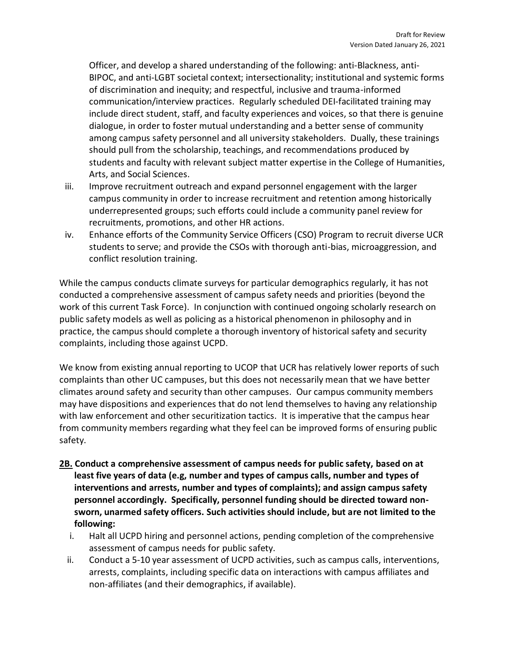Officer, and develop a shared understanding of the following: anti-Blackness, anti-BIPOC, and anti-LGBT societal context; intersectionality; institutional and systemic forms of discrimination and inequity; and respectful, inclusive and trauma-informed communication/interview practices. Regularly scheduled DEI-facilitated training may include direct student, staff, and faculty experiences and voices, so that there is genuine dialogue, in order to foster mutual understanding and a better sense of community among campus safety personnel and all university stakeholders. Dually, these trainings should pull from the scholarship, teachings, and recommendations produced by students and faculty with relevant subject matter expertise in the College of Humanities, Arts, and Social Sciences.

- iii. Improve recruitment outreach and expand personnel engagement with the larger campus community in order to increase recruitment and retention among historically underrepresented groups; such efforts could include a community panel review for recruitments, promotions, and other HR actions.
- iv. Enhance efforts of the Community Service Officers (CSO) Program to recruit diverse UCR students to serve; and provide the CSOs with thorough anti-bias, microaggression, and conflict resolution training.

While the campus conducts climate surveys for particular demographics regularly, it has not conducted a comprehensive assessment of campus safety needs and priorities (beyond the work of this current Task Force). In conjunction with continued ongoing scholarly research on public safety models as well as policing as a historical phenomenon in philosophy and in practice, the campus should complete a thorough inventory of historical safety and security complaints, including those against UCPD.

We know from existing annual reporting to UCOP that UCR has relatively lower reports of such complaints than other UC campuses, but this does not necessarily mean that we have better climates around safety and security than other campuses. Our campus community members may have dispositions and experiences that do not lend themselves to having any relationship with law enforcement and other securitization tactics. It is imperative that the campus hear from community members regarding what they feel can be improved forms of ensuring public safety.

- **2B. Conduct a comprehensive assessment of campus needs for public safety, based on at least five years of data (e.g, number and types of campus calls, number and types of interventions and arrests, number and types of complaints); and assign campus safety personnel accordingly. Specifically, personnel funding should be directed toward nonsworn, unarmed safety officers. Such activities should include, but are not limited to the following:**
	- i. Halt all UCPD hiring and personnel actions, pending completion of the comprehensive assessment of campus needs for public safety.
	- ii. Conduct a 5-10 year assessment of UCPD activities, such as campus calls, interventions, arrests, complaints, including specific data on interactions with campus affiliates and non-affiliates (and their demographics, if available).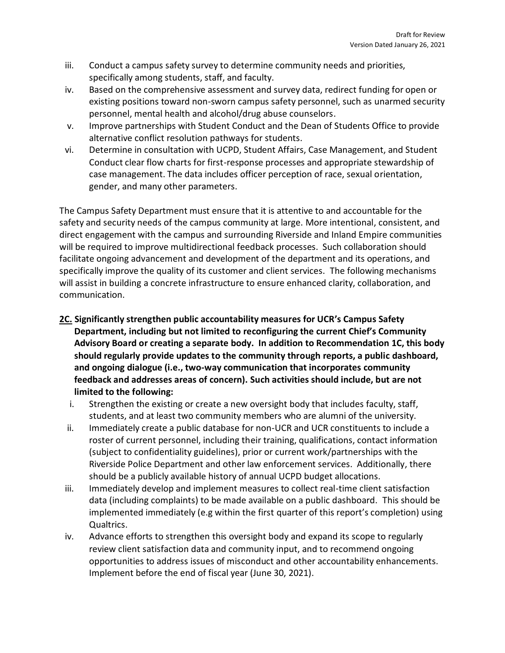- iii. Conduct a campus safety survey to determine community needs and priorities, specifically among students, staff, and faculty.
- iv. Based on the comprehensive assessment and survey data, redirect funding for open or existing positions toward non-sworn campus safety personnel, such as unarmed security personnel, mental health and alcohol/drug abuse counselors.
- v. Improve partnerships with Student Conduct and the Dean of Students Office to provide alternative conflict resolution pathways for students.
- vi. Determine in consultation with UCPD, Student Affairs, Case Management, and Student Conduct clear flow charts for first-response processes and appropriate stewardship of case management. The data includes officer perception of race, sexual orientation, gender, and many other parameters.

The Campus Safety Department must ensure that it is attentive to and accountable for the safety and security needs of the campus community at large. More intentional, consistent, and direct engagement with the campus and surrounding Riverside and Inland Empire communities will be required to improve multidirectional feedback processes. Such collaboration should facilitate ongoing advancement and development of the department and its operations, and specifically improve the quality of its customer and client services. The following mechanisms will assist in building a concrete infrastructure to ensure enhanced clarity, collaboration, and communication.

- **2C. Significantly strengthen public accountability measures for UCR's Campus Safety Department, including but not limited to reconfiguring the current Chief's Community Advisory Board or creating a separate body. In addition to Recommendation 1C, this body should regularly provide updates to the community through reports, a public dashboard, and ongoing dialogue (i.e., two-way communication that incorporates community feedback and addresses areas of concern). Such activities should include, but are not limited to the following:**
	- i. Strengthen the existing or create a new oversight body that includes faculty, staff, students, and at least two community members who are alumni of the university.
	- ii. Immediately create a public database for non-UCR and UCR constituents to include a roster of current personnel, including their training, qualifications, contact information (subject to confidentiality guidelines), prior or current work/partnerships with the Riverside Police Department and other law enforcement services. Additionally, there should be a publicly available history of annual UCPD budget allocations.
- iii. Immediately develop and implement measures to collect real-time client satisfaction data (including complaints) to be made available on a public dashboard. This should be implemented immediately (e.g within the first quarter of this report's completion) using Qualtrics.
- iv. Advance efforts to strengthen this oversight body and expand its scope to regularly review client satisfaction data and community input, and to recommend ongoing opportunities to address issues of misconduct and other accountability enhancements. Implement before the end of fiscal year (June 30, 2021).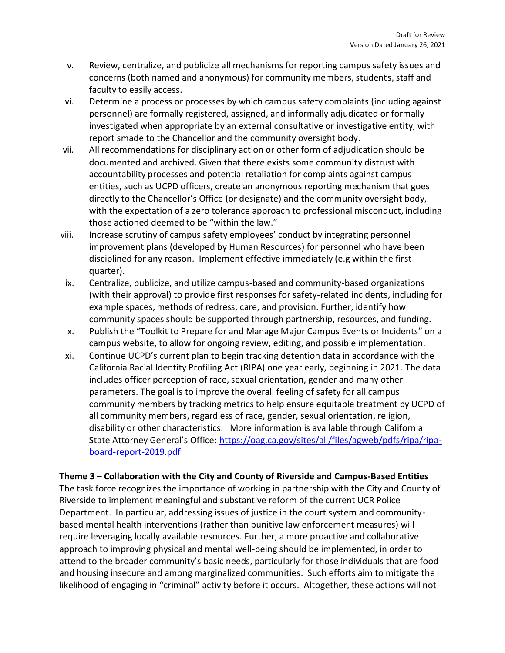- v. Review, centralize, and publicize all mechanisms for reporting campus safety issues and concerns (both named and anonymous) for community members, students, staff and faculty to easily access.
- vi. Determine a process or processes by which campus safety complaints (including against personnel) are formally registered, assigned, and informally adjudicated or formally investigated when appropriate by an external consultative or investigative entity, with report smade to the Chancellor and the community oversight body.
- vii. All recommendations for disciplinary action or other form of adjudication should be documented and archived. Given that there exists some community distrust with accountability processes and potential retaliation for complaints against campus entities, such as UCPD officers, create an anonymous reporting mechanism that goes directly to the Chancellor's Office (or designate) and the community oversight body, with the expectation of a zero tolerance approach to professional misconduct, including those actioned deemed to be "within the law."
- viii. Increase scrutiny of campus safety employees' conduct by integrating personnel improvement plans (developed by Human Resources) for personnel who have been disciplined for any reason. Implement effective immediately (e.g within the first quarter).
- ix. Centralize, publicize, and utilize campus-based and community-based organizations (with their approval) to provide first responses for safety-related incidents, including for example spaces, methods of redress, care, and provision. Further, identify how community spaces should be supported through partnership, resources, and funding.
- x. Publish the "Toolkit to Prepare for and Manage Major Campus Events or Incidents" on a campus website, to allow for ongoing review, editing, and possible implementation.
- xi. Continue UCPD's current plan to begin tracking detention data in accordance with the California Racial Identity Profiling Act (RIPA) one year early, beginning in 2021. The data includes officer perception of race, sexual orientation, gender and many other parameters. The goal is to improve the overall feeling of safety for all campus community members by tracking metrics to help ensure equitable treatment by UCPD of all community members, regardless of race, gender, sexual orientation, religion, disability or other characteristics. More information is available through California State Attorney General's Office: [https://oag.ca.gov/sites/all/files/agweb/pdfs/ripa/ripa](https://oag.ca.gov/sites/all/files/agweb/pdfs/ripa/ripa-board-report-2019.pdf)[board-report-2019.pdf](https://oag.ca.gov/sites/all/files/agweb/pdfs/ripa/ripa-board-report-2019.pdf)

## **Theme 3 – Collaboration with the City and County of Riverside and Campus-Based Entities**

The task force recognizes the importance of working in partnership with the City and County of Riverside to implement meaningful and substantive reform of the current UCR Police Department. In particular, addressing issues of justice in the court system and communitybased mental health interventions (rather than punitive law enforcement measures) will require leveraging locally available resources. Further, a more proactive and collaborative approach to improving physical and mental well-being should be implemented, in order to attend to the broader community's basic needs, particularly for those individuals that are food and housing insecure and among marginalized communities. Such efforts aim to mitigate the likelihood of engaging in "criminal" activity before it occurs. Altogether, these actions will not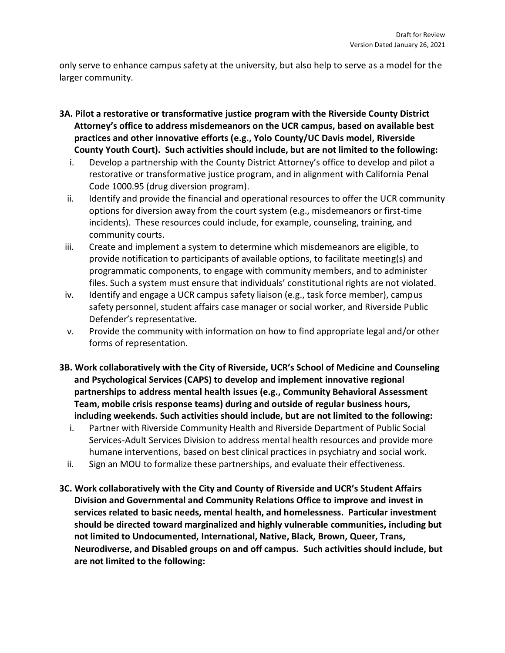only serve to enhance campus safety at the university, but also help to serve as a model for the larger community.

- **3A. Pilot a restorative or transformative justice program with the Riverside County District Attorney's office to address misdemeanors on the UCR campus, based on available best practices and other innovative efforts (e.g., Yolo County/UC Davis model, Riverside County Youth Court). Such activities should include, but are not limited to the following:**
	- i. Develop a partnership with the County District Attorney's office to develop and pilot a restorative or transformative justice program, and in alignment with California Penal Code 1000.95 (drug diversion program).
	- ii. Identify and provide the financial and operational resources to offer the UCR community options for diversion away from the court system (e.g., misdemeanors or first-time incidents). These resources could include, for example, counseling, training, and community courts.
	- iii. Create and implement a system to determine which misdemeanors are eligible, to provide notification to participants of available options, to facilitate meeting(s) and programmatic components, to engage with community members, and to administer files. Such a system must ensure that individuals' constitutional rights are not violated.
	- iv. Identify and engage a UCR campus safety liaison (e.g., task force member), campus safety personnel, student affairs case manager or social worker, and Riverside Public Defender's representative.
	- v. Provide the community with information on how to find appropriate legal and/or other forms of representation.
- **3B. Work collaboratively with the City of Riverside, UCR's School of Medicine and Counseling and Psychological Services (CAPS) to develop and implement innovative regional partnerships to address mental health issues (e.g., Community Behavioral Assessment Team, mobile crisis response teams) during and outside of regular business hours, including weekends. Such activities should include, but are not limited to the following:**
	- i. Partner with Riverside Community Health and Riverside Department of Public Social Services-Adult Services Division to address mental health resources and provide more humane interventions, based on best clinical practices in psychiatry and social work.
	- ii. Sign an MOU to formalize these partnerships, and evaluate their effectiveness.
- **3C. Work collaboratively with the City and County of Riverside and UCR's Student Affairs Division and Governmental and Community Relations Office to improve and invest in services related to basic needs, mental health, and homelessness. Particular investment should be directed toward marginalized and highly vulnerable communities, including but not limited to Undocumented, International, Native, Black, Brown, Queer, Trans, Neurodiverse, and Disabled groups on and off campus. Such activities should include, but are not limited to the following:**